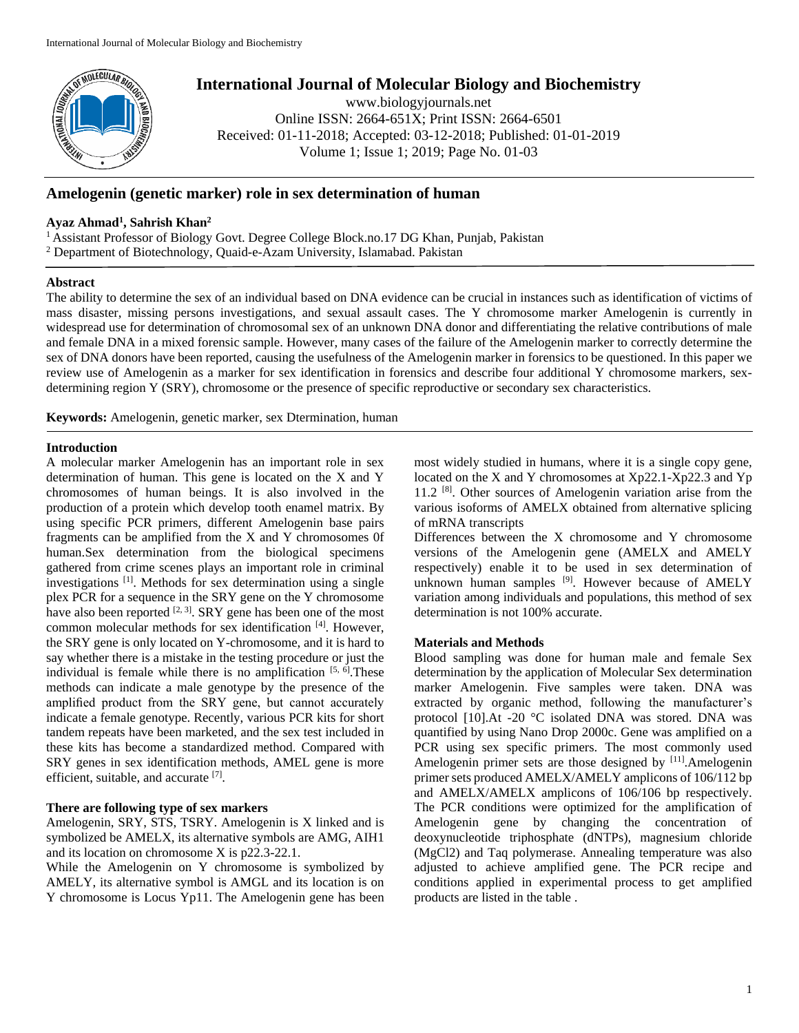

# **International Journal of Molecular Biology and Biochemistry**

www.biologyjournals.net Online ISSN: 2664-651X; Print ISSN: 2664-6501 Received: 01-11-2018; Accepted: 03-12-2018; Published: 01-01-2019 Volume 1; Issue 1; 2019; Page No. 01-03

# **Amelogenin (genetic marker) role in sex determination of human**

## **Ayaz Ahmad<sup>1</sup> , Sahrish Khan<sup>2</sup>**

<sup>1</sup>Assistant Professor of Biology Govt. Degree College Block.no.17 DG Khan, Punjab, Pakistan <sup>2</sup> Department of Biotechnology, Quaid-e-Azam University, Islamabad. Pakistan

### **Abstract**

The ability to determine the sex of an individual based on DNA evidence can be crucial in instances such as identification of victims of mass disaster, missing persons investigations, and sexual assault cases. The Y chromosome marker Amelogenin is currently in widespread use for determination of chromosomal sex of an unknown DNA donor and differentiating the relative contributions of male and female DNA in a mixed forensic sample. However, many cases of the failure of the Amelogenin marker to correctly determine the sex of DNA donors have been reported, causing the usefulness of the Amelogenin marker in forensics to be questioned. In this paper we review use of Amelogenin as a marker for sex identification in forensics and describe four additional Y chromosome markers, sexdetermining region Y (SRY), chromosome or the presence of specific reproductive or secondary sex characteristics.

**Keywords:** Amelogenin, genetic marker, sex Dtermination, human

### **Introduction**

A molecular marker Amelogenin has an important role in sex determination of human. This gene is located on the X and Y chromosomes of human beings. It is also involved in the production of a protein which develop tooth enamel matrix. By using specific PCR primers, different Amelogenin base pairs fragments can be amplified from the X and Y chromosomes 0f human.Sex determination from the biological specimens gathered from crime scenes plays an important role in criminal investigations [1]. Methods for sex determination using a single plex PCR for a sequence in the SRY gene on the Y chromosome have also been reported  $[2, 3]$ . SRY gene has been one of the most common molecular methods for sex identification [4]. However, the SRY gene is only located on Y-chromosome, and it is hard to say whether there is a mistake in the testing procedure or just the individual is female while there is no amplification  $[5, 6]$ . These methods can indicate a male genotype by the presence of the amplified product from the SRY gene, but cannot accurately indicate a female genotype. Recently, various PCR kits for short tandem repeats have been marketed, and the sex test included in these kits has become a standardized method. Compared with SRY genes in sex identification methods, AMEL gene is more efficient, suitable, and accurate [7].

## **There are following type of sex markers**

Amelogenin, SRY, STS, TSRY. Amelogenin is X linked and is symbolized be AMELX, its alternative symbols are AMG, AIH1 and its location on chromosome X is p22.3-22.1.

While the Amelogenin on Y chromosome is symbolized by AMELY, its alternative symbol is AMGL and its location is on Y chromosome is Locus Yp11. The Amelogenin gene has been most widely studied in humans, where it is a single copy gene, located on the X and Y chromosomes at Xp22.1-Xp22.3 and Yp 11.2<sup>[8]</sup>. Other sources of Amelogenin variation arise from the various isoforms of AMELX obtained from alternative splicing of mRNA transcripts

Differences between the X chromosome and Y chromosome versions of the Amelogenin gene (AMELX and AMELY respectively) enable it to be used in sex determination of unknown human samples <sup>[9]</sup>. However because of AMELY variation among individuals and populations, this method of sex determination is not 100% accurate.

#### **Materials and Methods**

Blood sampling was done for human male and female Sex determination by the application of Molecular Sex determination marker Amelogenin. Five samples were taken. DNA was extracted by organic method, following the manufacturer's protocol [10].At -20 °C isolated DNA was stored. DNA was quantified by using Nano Drop 2000c. Gene was amplified on a PCR using sex specific primers. The most commonly used Amelogenin primer sets are those designed by [11].Amelogenin primer sets produced AMELX/AMELY amplicons of 106/112 bp and AMELX/AMELX amplicons of 106/106 bp respectively. The PCR conditions were optimized for the amplification of Amelogenin gene by changing the concentration of deoxynucleotide triphosphate (dNTPs), magnesium chloride (MgCl2) and Taq polymerase. Annealing temperature was also adjusted to achieve amplified gene. The PCR recipe and conditions applied in experimental process to get amplified products are listed in the table .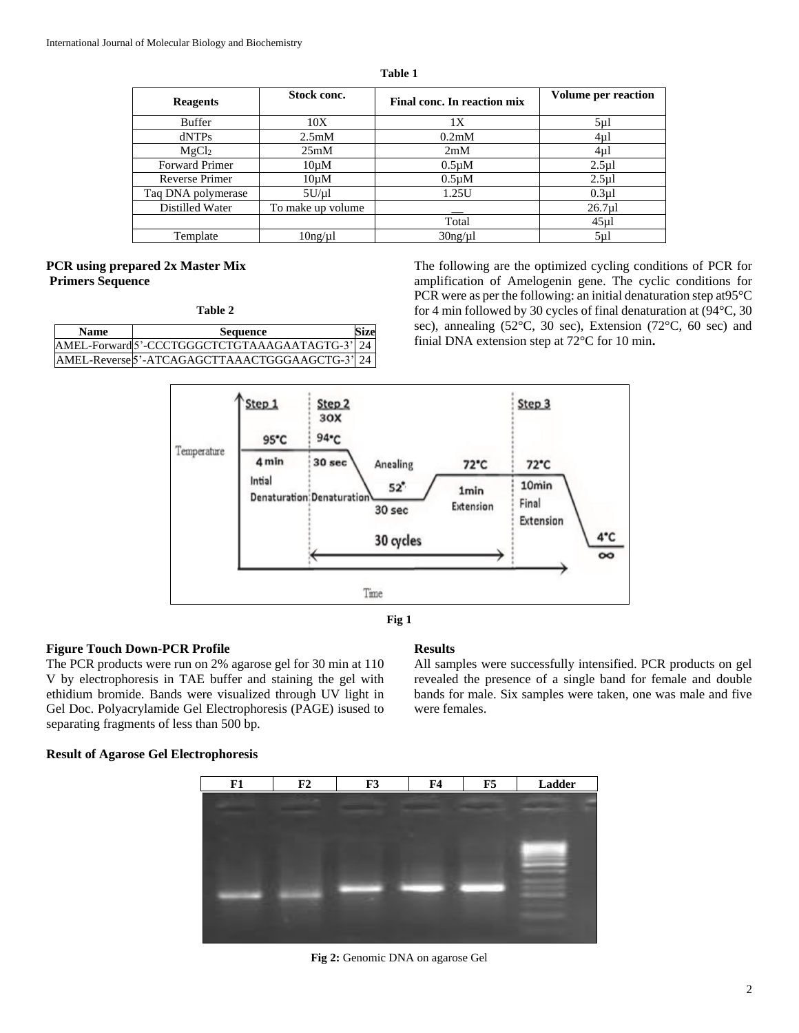**Table 1**

| <b>Reagents</b>       | Stock conc.        | Final conc. In reaction mix | <b>Volume per reaction</b> |
|-----------------------|--------------------|-----------------------------|----------------------------|
| <b>Buffer</b>         | 10X                | 1Х                          | $5\mu$                     |
| dNTPs                 | 2.5 <sub>m</sub> M | 0.2 <sub>m</sub> M          | 4ul                        |
| MgCl <sub>2</sub>     | 25mM               | 2mM                         | $4\mu$ l                   |
| <b>Forward Primer</b> | $10\mu M$          | $0.5 \mu M$                 | $2.5 \mu$                  |
| <b>Reverse Primer</b> | $10\mu M$          | $0.5 \mu M$                 | $2.5 \mu$                  |
| Taq DNA polymerase    | 5U/µl              | 1.25U                       | $0.3 \mu$ l                |
| Distilled Water       | To make up volume  |                             | $26.7$ ul                  |
|                       |                    | Total                       | $45 \mu$ l                 |
| Template              | 10ng/µl            | $30$ ng/µl                  | $5\mu$                     |

# **PCR using prepared 2x Master Mix Primers Sequence**

**Table 2**

| <b>Name</b> | <b>Sequence</b>                                | Size |
|-------------|------------------------------------------------|------|
|             | AMEL-Forward 5'-CCCTGGGCTCTGTAAAGAATAGTG-3' 24 |      |
|             | AMEL-Reverse 5'-ATCAGAGCTTAAACTGGGAAGCTG-3' 24 |      |

The following are the optimized cycling conditions of PCR for amplification of Amelogenin gene. The cyclic conditions for PCR were as per the following: an initial denaturation step at95°C for 4 min followed by 30 cycles of final denaturation at (94°C, 30 sec), annealing (52°C, 30 sec), Extension (72°C, 60 sec) and finial DNA extension step at 72°C for 10 min**.**





## **Figure Touch Down-PCR Profile**

The PCR products were run on 2% agarose gel for 30 min at 110 V by electrophoresis in TAE buffer and staining the gel with ethidium bromide. Bands were visualized through UV light in Gel Doc. Polyacrylamide Gel Electrophoresis (PAGE) isused to separating fragments of less than 500 bp.

#### **Results**

All samples were successfully intensified. PCR products on gel revealed the presence of a single band for female and double bands for male. Six samples were taken, one was male and five were females.

## **Result of Agarose Gel Electrophoresis**



**Fig 2:** Genomic DNA on agarose Gel